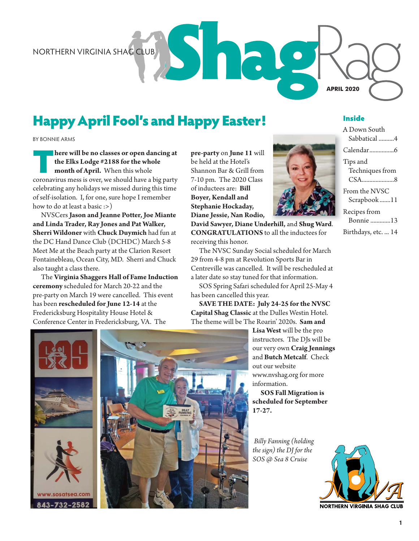# Happy April Fool's and Happy Easter!

BY BONNIE ARMS

**There will be no classes or open dancing at**<br> **coronavirus mess is over, we should have a big party**<br> **coronavirus mess is over, we should have a big party the Elks Lodge #2188 for the whole month of April.** When this whole celebrating any holidays we missed during this time of self-isolation. I, for one, sure hope I remember how to do at least a basic :>)

NVSCers **Jason and Jeanne Potter, Joe Miante and Linda Trader, Ray Jones and Pat Walker, Sherri Wildoner** with **Chuck Duymich** had fun at the DC Hand Dance Club (DCHDC) March 5-8 Meet Me at the Beach party at the Clarion Resort Fontainebleau, Ocean City, MD. Sherri and Chuck also taught a class there.

The **Virginia Shaggers Hall of Fame Induction ceremony** scheduled for March 20-22 and the pre-party on March 19 were cancelled. This event has been **rescheduled for June 12-14** at the Fredericksburg Hospitality House Hotel & Conference Center in Fredericksburg, VA. The

**pre-party** on **June 11** will be held at the Hotel's Shannon Bar & Grill from 7-10 pm. The 2020 Class of inductees are: **Bill Boyer, Kendall and Stephanie Hockaday, Diane Jessie, Nan Rodio,** 



The NVSC Sunday Social scheduled for March 29 from 4-8 pm at Revolution Sports Bar in Centreville was cancelled. It will be rescheduled at a later date so stay tuned for that information.

SOS Spring Safari scheduled for April 25-May 4 has been cancelled this year.

**SAVE THE DATE: July 24-25 for the NVSC Capital Shag Classic** at the Dulles Westin Hotel. The theme will be The Roarin' 2020s. **Sam and** 

> **Lisa West** will be the pro instructors. The DJs will be our very own **Craig Jennings**  and **Butch Metcalf**. Check out our website www.nvshag.org for more information.

**SOS Fall Migration is scheduled for September 17-27.** 

 *Billy Fanning (holding the sign) the DJ for the SOS @ Sea 8 Cruise*





#### Inside

A Down South Sabbatical ..........4 Calendar................6 Tips and Techniques from CSA.....................8 From the NVSC Scrapbook .......11 Recipes from Bonnie .............13

Birthdays, etc. ... 14





Sh. NORTHERN VIRGINIA SHAG CLUB **APRIL 2020**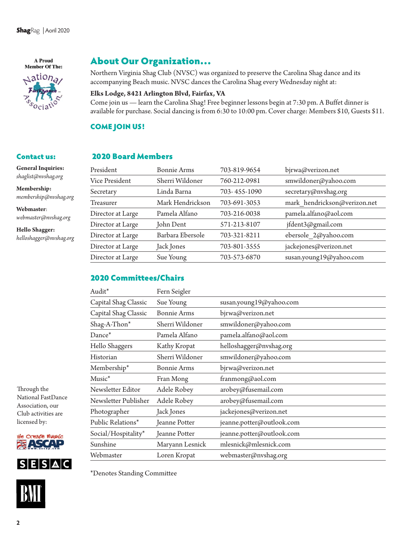A Proud **Member Of The:** 



### About Our Organization…

Northern Virginia Shag Club (NVSC) was organized to preserve the Carolina Shag dance and its accompanying Beach music. NVSC dances the Carolina Shag every Wednesday night at:

#### **Elks Lodge, 8421 Arlington Blvd, Fairfax, VA**

Come join us — learn the Carolina Shag! Free beginner lessons begin at 7:30 pm. A Buffet dinner is available for purchase. Social dancing is from 6:30 to 10:00 pm. Cover charge: Members \$10, Guests \$11.

#### COME JOIN US!

### Contact us:

**General Inquiries:**  *shaglist@nvshag.org* 

**Membership:**  *membership@nvshag.org* 

**Webmaster**: *webmaster@nvshag.org*

**Hello Shagger:** *helloshagger@nvshag.org*

#### 2020 Board Members

| President         | Bonnie Arms      | 703-819-9654 | bjrwa@verizon.net            |  |
|-------------------|------------------|--------------|------------------------------|--|
| Vice President    | Sherri Wildoner  | 760-212-0981 | smwildoner@yahoo.com         |  |
| Secretary         | Linda Barna      | 703-455-1090 | secretary@nvshag.org         |  |
| <b>Treasurer</b>  | Mark Hendrickson | 703-691-3053 | mark hendrickson@verizon.net |  |
| Director at Large | Pamela Alfano    | 703-216-0038 | pamela.alfano@aol.com        |  |
| Director at Large | John Dent        | 571-213-8107 | jfdent3@gmail.com            |  |
| Director at Large | Barbara Ebersole | 703-321-8211 | ebersole 2@yahoo.com         |  |
| Director at Large | Jack Jones       | 703-801-3555 | jackejones@verizon.net       |  |
| Director at Large | Sue Young        | 703-573-6870 | susan.young19@yahoo.com      |  |
|                   |                  |              |                              |  |

### 2020 Committees/Chairs

| Audit*               | Fern Seigler       |                           |
|----------------------|--------------------|---------------------------|
| Capital Shag Classic | Sue Young          | susan.young19@yahoo.com   |
| Capital Shag Classic | <b>Bonnie Arms</b> | bjrwa@verizon.net         |
| Shag-A-Thon*         | Sherri Wildoner    | smwildoner@yahoo.com      |
| Dance*               | Pamela Alfano      | pamela.alfano@aol.com     |
| Hello Shaggers       | Kathy Kropat       | helloshagger@nvshag.org   |
| Historian            | Sherri Wildoner    | smwildoner@yahoo.com      |
| Membership*          | <b>Bonnie Arms</b> | bjrwa@verizon.net         |
| $Musc^*$             | Fran Mong          | franmong@aol.com          |
| Newsletter Editor    | Adele Robey        | arobey@fusemail.com       |
| Newsletter Publisher | Adele Robey        | arobey@fusemail.com       |
| Photographer         | Jack Jones         | jackejones@verizon.net    |
| Public Relations*    | Jeanne Potter      | jeanne.potter@outlook.com |
| Social/Hospitality*  | Jeanne Potter      | jeanne.potter@outlook.com |
| Sunshine             | Maryann Lesnick    | mlesnick@mlesnick.com     |
| Webmaster            | Loren Kropat       | webmaster@nvshag.org      |

Through the National FastDance Association, our Club activities are licensed by:







\*Denotes Standing Committee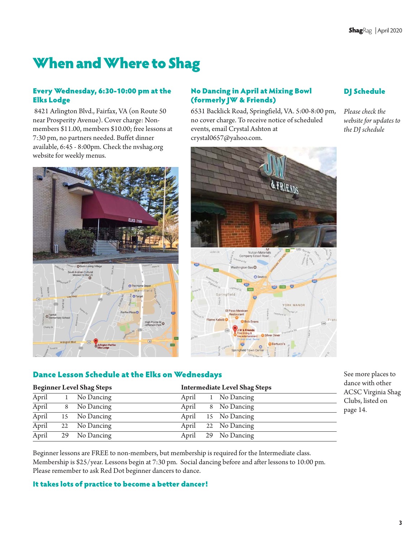# When and Where to Shag

#### Every Wednesday, 6:30-10:00 pm at the Elks Lodge

 8421 Arlington Blvd., Fairfax, VA (on Route 50 near Prosperity Avenue). Cover charge: Nonmembers \$11.00, members \$10.00; free lessons at 7:30 pm, no partners needed. Buffet dinner available, 6:45 - 8:00pm. Check the nvshag.org website for weekly menus.





#### No Dancing in April at Mixing Bowl (formerly JW & Friends)

6531 Backlick Road, Springfield, VA. 5:00-8:00 pm, no cover charge. To receive notice of scheduled events, email Crystal Ashton at crystal0657@yahoo.com.



### DJ Schedule

*Please check the website for updates to the DJ schedule* 

#### Dance Lesson Schedule at the Elks on Wednesdays

|       | <b>Beginner Level Shag Steps</b> | <b>Intermediate Level Shag Steps</b> |
|-------|----------------------------------|--------------------------------------|
| April | No Dancing                       | April<br>1 No Dancing                |
| April | 8 No Dancing                     | April<br>8 No Dancing                |
| April | 15 No Dancing                    | April<br>15 No Dancing               |
| April | 22 No Dancing                    | 22 No Dancing<br>April               |
| April | 29 No Dancing                    | April 29 No Dancing                  |

See more places to dance with other ACSC Virginia Shag Clubs, listed on page 14.

Beginner lessons are FREE to non-members, but membership is required for the Intermediate class. Membership is \$25/year. Lessons begin at 7:30 pm. Social dancing before and after lessons to 10:00 pm. Please remember to ask Red Dot beginner dancers to dance.

#### It takes lots of practice to become a better dancer!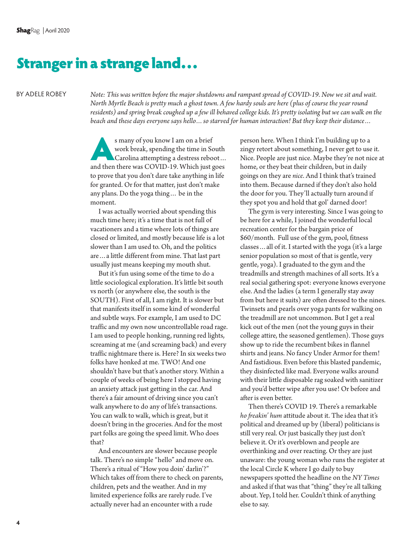# Stranger in a strange land…

BY ADELE ROBEY

*Note: This was written before the major shutdowns and rampant spread of COVID-19. Now we sit and wait. North Myrtle Beach is pretty much a ghost town. A few hardy souls are here (plus of course the year round residents) and spring break coughed up a few ill behaved college kids. It's pretty isolating but we can walk on the beach and these days everyone says hello…so starved for human interaction! But they keep their distance…*

s many of you know I am on a brief<br>work break, spending the time in Sc<br>Carolina attempting a destress rebo<br>and then there was COVID-19. Which just a work break, spending the time in South Carolina attempting a destress reboot… and then there was COVID-19. Which just goes to prove that you don't dare take anything in life for granted. Or for that matter, just don't make any plans. Do the yoga thing… be in the moment.

I was actually worried about spending this much time here; it's a time that is not full of vacationers and a time where lots of things are closed or limited, and mostly because life is a lot slower than I am used to. Oh, and the politics are…a little different from mine. That last part usually just means keeping my mouth shut.

But it's fun using some of the time to do a little sociological exploration. It's little bit south vs north (or anywhere else, the south is the SOUTH). First of all, I am right. It is slower but that manifests itself in some kind of wonderful and subtle ways. For example, I am used to DC traffic and my own now uncontrollable road rage. I am used to people honking, running red lights, screaming at me (and screaming back) and every traffic nightmare there is. Here? In six weeks two folks have honked at me. TWO! And one shouldn't have but that's another story. Within a couple of weeks of being here I stopped having an anxiety attack just getting in the car. And there's a fair amount of driving since you can't walk anywhere to do any of life's transactions. You can walk to walk, which is great, but it doesn't bring in the groceries. And for the most part folks are going the speed limit. Who does that?

And encounters are slower because people talk. There's no simple "hello" and move on. There's a ritual of "How you doin' darlin'?" Which takes off from there to check on parents, children, pets and the weather. And in my limited experience folks are rarely rude. I've actually never had an encounter with a rude

person here. When I think I'm building up to a zingy retort about something, I never get to use it. Nice. People are just nice. Maybe they're not nice at home, or they beat their children, but in daily goings on they are *nice*. And I think that's trained into them. Because darned if they don't also hold the door for you. They'll actually turn around if they spot you and hold that gol' darned door!

The gym is very interesting. Since I was going to be here for a while, I joined the wonderful local recreation center for the bargain price of \$60/month. Full use of the gym, pool, fitness classes…all of it. I started with the yoga (it's a large senior population so most of that is gentle, very gentle, yoga). I graduated to the gym and the treadmills and strength machines of all sorts. It's a real social gathering spot: everyone knows everyone else. And the ladies (a term I generally stay away from but here it suits) are often dressed to the nines. Twinsets and pearls over yoga pants for walking on the treadmill are not uncommon. But I get a real kick out of the men (not the young guys in their college attire, the seasoned gentlemen). Those guys show up to ride the recumbent bikes in flannel shirts and jeans. No fancy Under Armor for them! And fastidious. Even before this blasted pandemic, they disinfected like mad. Everyone walks around with their little disposable rag soaked with sanitizer and you'd better wipe after you use! Or before and after is even better.

Then there's COVID 19. There's a remarkable *ho freakin' hum* attitude about it. The idea that it's political and dreamed up by (liberal) politicians is still very real. Or just basically they just don't believe it. Or it's overblown and people are overthinking and over reacting. Or they are just unaware: the young woman who runs the register at the local Circle K where I go daily to buy newspapers spotted the headline on the *NY Times* and asked if that was that "thing" they're all talking about. Yep, I told her. Couldn't think of anything else to say.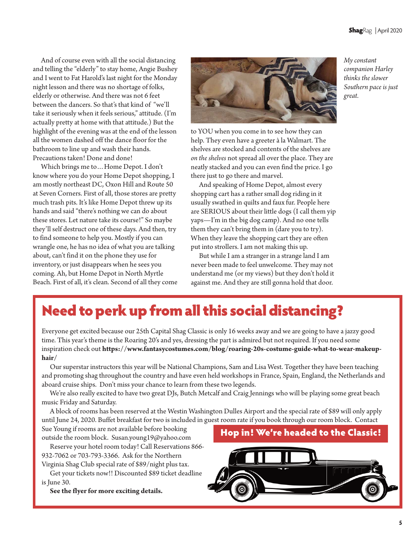And of course even with all the social distancing and telling the "elderly" to stay home, Angie Bushey and I went to Fat Harold's last night for the Monday night lesson and there was no shortage of folks, elderly or otherwise. And there was not 6 feet between the dancers. So that's that kind of "we'll take it seriously when it feels serious," attitude. (I'm actually pretty at home with that attitude.) But the highlight of the evening was at the end of the lesson all the women dashed off the dance floor for the bathroom to line up and wash their hands. Precautions taken! Done and done!

Which brings me to…Home Depot. I don't know where you do your Home Depot shopping, I am mostly northeast DC, Oxon Hill and Route 50 at Seven Corners. First of all, those stores are pretty much trash pits. It's like Home Depot threw up its hands and said "there's nothing we can do about these stores. Let nature take its course!" So maybe they'll self destruct one of these days. And then, try to find someone to help you. Mostly if you can wrangle one, he has no idea of what you are talking about, can't find it on the phone they use for inventory, or just disappears when he sees you coming. Ah, but Home Depot in North Myrtle Beach. First of all, it's clean. Second of all they come



to YOU when you come in to see how they can help. They even have a greeter à la Walmart. The shelves are stocked and contents of the shelves are *on the shelves* not spread all over the place. They are neatly stacked and you can even find the price. I go there just to go there and marvel.

And speaking of Home Depot, almost every shopping cart has a rather small dog riding in it usually swathed in quilts and faux fur. People here are SERIOUS about their little dogs (I call them yip yaps—I'm in the big dog camp). And no one tells them they can't bring them in (dare you to try). When they leave the shopping cart they are often put into strollers. I am not making this up.

But while I am a stranger in a strange land I am never been made to feel unwelcome. They may not understand me (or my views) but they don't hold it against me. And they are still gonna hold that door.

# Need to perk up from all this social distancing?

Everyone get excited because our 25th Capital Shag Classic is only 16 weeks away and we are going to have a jazzy good time. This year's theme is the Roaring 20's and yes, dressing the part is admired but not required. If you need some inspiration check out **https://www.fantasycostumes.com/blog/roaring-20s-costume-guide-what-to-wear-makeuphair/** 

Our superstar instructors this year will be National Champions, Sam and Lisa West. Together they have been teaching and promoting shag throughout the country and have even held workshops in France, Spain, England, the Netherlands and aboard cruise ships. Don't miss your chance to learn from these two legends.

We're also really excited to have two great DJs, Butch Metcalf and Craig Jennings who will be playing some great beach music Friday and Saturday.

A block of rooms has been reserved at the Westin Washington Dulles Airport and the special rate of \$89 will only apply until June 24, 2020. Buffet breakfast for two is included in guest room rate if you book through our room block. Contact

Sue Young if rooms are not available before booking outside the room block. Susan.young19@yahoo.com

Reserve your hotel room today! Call Reservations 866- 932-7062 or 703-793-3366. Ask for the Northern

Virginia Shag Club special rate of \$89/night plus tax. Get your tickets now!! Discounted \$89 ticket deadline

is June 30.

**See the flyer for more exciting details.** 





*My constant companion Harley thinks the slower Southern pace is just great.*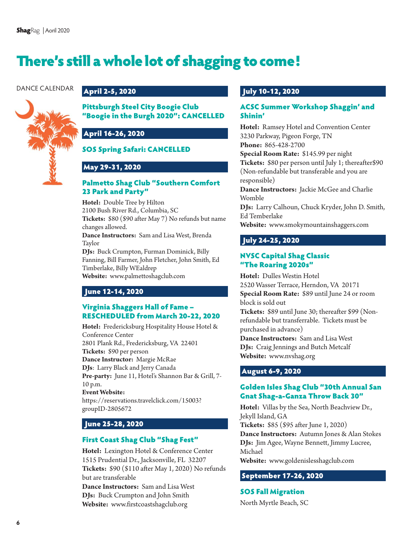# There's still a whole lot of shagging to come!

#### DANCE CALENDAR



#### April 2-5, 2020

#### Pittsburgh Steel City Boogie Club "Boogie in the Burgh 2020": CANCELLED

### April 16-26, 2020

#### SOS Spring Safari: CANCELLED

### May 29-31, 2020

#### Palmetto Shag Club "Southern Comfort 23 Park and Party"

**Hotel:** Double Tree by Hilton 2100 Bush River Rd., Columbia, SC **Tickets:** \$80 (\$90 after May 7) No refunds but name changes allowed. **Dance Instructors:** Sam and Lisa West, Brenda Taylor **DJs:** Buck Crumpton, Furman Dominick, Billy

Fanning, Bill Farmer, John Fletcher, John Smith, Ed Timberlake, Billy WEaldrep

**Website:** www.palmettoshagclub.com

### June 12-14, 2020

#### Virginia Shaggers Hall of Fame – RESCHEDULED from March 20-22, 2020

**Hotel:** Fredericksburg Hospitality House Hotel & Conference Center 2801 Plank Rd., Fredericksburg, VA 22401 **Tickets:** \$90 per person **Dance Instructor:** Margie McRae **DJs**: Larry Black and Jerry Canada **Pre-party:** June 11, Hotel's Shannon Bar & Grill, 7- 10 p.m. **Event Website:** https://reservations.travelclick.com/15003? groupID-2805672

### June 25-28, 2020

#### First Coast Shag Club "Shag Fest"

**Hotel:** Lexington Hotel & Conference Center 1515 Prudential Dr., Jacksonville, FL 32207 **Tickets:** \$90 (\$110 after May 1, 2020) No refunds but are transferable

**Dance Instructors:** Sam and Lisa West **DJs:** Buck Crumpton and John Smith **Website:** www.firstcoastshagclub.org

#### July 10-12, 2020

#### ACSC Summer Workshop Shaggin' and Shinin'

**Hotel:** Ramsey Hotel and Convention Center 3230 Parkway, Pigeon Forge, TN **Phone:** 865-428-2700

**Special Room Rate:** \$145.99 per night **Tickets:** \$80 per person until July 1; thereafter\$90 (Non-refundable but transferable and you are responsible)

**Dance Instructors:** Jackie McGee and Charlie Womble

**DJs:** Larry Calhoun, Chuck Kryder, John D. Smith, Ed Temberlake

**Website:** www.smokymountainshaggers.com

### July 24-25, 2020

#### NVSC Capital Shag Classic "The Roaring 2020s"

**Hotel:** Dulles Westin Hotel 2520 Wasser Terrace, Herndon, VA 20171 **Special Room Rate:** \$89 until June 24 or room block is sold out

**Tickets:** \$89 until June 30; thereafter \$99 (Nonrefundable but transferrable. Tickets must be purchased in advance)

**Dance Instructors:** Sam and Lisa West **DJs:** Craig Jennings and Butch Metcalf **Website:** www.nvshag.org

### August 6-9, 2020

#### Golden Isles Shag Club "30th Annual San Gnat Shag-a-Ganza Throw Back 30"

**Hotel:** Villas by the Sea, North Beachview Dr., Jekyll Island, GA

**Tickets:** \$85 (\$95 after June 1, 2020)

**Dance Instructors:** Autumn Jones & Alan Stokes **DJs:** Jim Agee, Wayne Bennett, Jimmy Lucree, Michael

**Website:** www.goldenislesshagclub.com

## September 17-26, 2020

#### SOS Fall Migration North Myrtle Beach, SC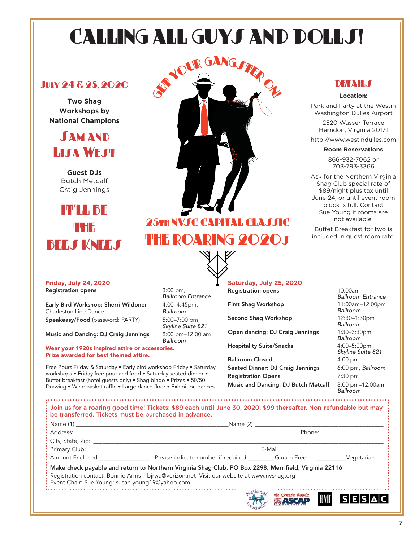# CALLING ALL GUYS AND DOLLS!

### July 24 & 25, 2020

**Two Shag Workshops by National Champions** 

**SAM AND Lisa WEST** 

**Guest DJs**  Butch Metcalf Craig Jennings

# IT'LL BE THE **BEES KNEES**

**Friday, July 24, 2020** 

Registration opens 3:00 pm,

Wear your 1920s inspired attire or accessories.

Prize awarded for best themed attire.

Early Bird Workshop: Sherri Wildoner 4:00-4:45pm, Charleston Line Dance **Ballroom** Speakeasy/Food (password: PARTY) 5:00–7:00 pm,

Music and Dancing: DJ Craig Jennings 8:00 pm-12:00 am

Free Pours Friday & Saturday • Early bird workshop Friday • Saturday workshops • Friday free pour and food • Saturday seated dinner • Buffet breakfast (hotel guests only) • Shag bingo • Prizes • 50/50 Drawing • Wine basket raffle • Large dance floor • Exhibition dances



# THE ROARING 2020s

Ballroom Entrance

Skyline Suite 821

Ballroom

**Saturday, July 25, 2020**  Registration opens 10:00am

First Shag Workshop 11:00am-12:00pm

Second Shag Workshop 12:30-1:30pm

Open dancing: DJ Craig Jennings 1:30–3:30pm

Hospitality Suite/Snacks 4:00-5:00pm,

Ballroom Closed 4:00 pm Seated Dinner: DJ Craig Jennings 6:00 pm, Ballroom Registration Opens 7:30 pm Music and Dancing: DJ Butch Metcalf 8:00 pm-12:00am

# Ballroom Entrance Ballroom Ballroom Ballroom Skyline Suite 821 **Ballroom**

|                                                   |                                                                                                                                                                                                    | Name (2) and the contract of the contract of the contract of the contract of the contract of the contract of the contract of the contract of the contract of the contract of the contract of the contract of the contract of t |  |
|---------------------------------------------------|----------------------------------------------------------------------------------------------------------------------------------------------------------------------------------------------------|--------------------------------------------------------------------------------------------------------------------------------------------------------------------------------------------------------------------------------|--|
|                                                   | Phone: _________________                                                                                                                                                                           |                                                                                                                                                                                                                                |  |
|                                                   |                                                                                                                                                                                                    |                                                                                                                                                                                                                                |  |
|                                                   | E-Mail <b>E-Mail</b>                                                                                                                                                                               |                                                                                                                                                                                                                                |  |
|                                                   |                                                                                                                                                                                                    |                                                                                                                                                                                                                                |  |
| : Event Chair: Sue Young: susan.young19@yahoo.com | Make check payable and return to Northern Virginia Shag Club, PO Box 2298, Merrifield, Virginia 22116<br>Registration contact: Bonnie Arms - bjrwa@verizon.net Visit our website at www.nvshag.org |                                                                                                                                                                                                                                |  |

### **DETAIL**S

#### **Location:**

Park and Party at the Westin Washington Dulles Airport

2520 Wasser Terrace Herndon, Virginia 20171

http://www.westindulles.com

#### **Room Reservations**

866-932-7062 or 703-793-3366

Ask for the Northern Virginia Shag Club special rate of \$89/night plus tax until June 24, or until event room block is full. Contact Sue Young if rooms are not available.

Buffet Breakfast for two is included in guest room rate.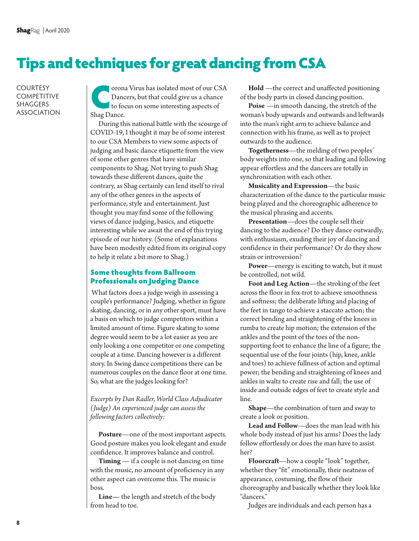# Tips and techniques for great dancing from CSA

**COURTESY COMPETITIVE** SHAGGERS ASSOCIATION

orona Virus has isolated most of our CSA Dancers, but that could give us a chance to focus on some interesting aspects of Shag Dance.

During this national battle with the scourge of COVID-19, I thought it may be of some interest to our CSA Members to view some aspects of judging and basic dance etiquette from the view of some other genres that have similar components to Shag. Not trying to push Shag towards these different dances, quite the contrary, as Shag certainly can lend itself to rival any of the other genres in the aspects of performance, style and entertainment. Just thought you may find some of the following views of dance judging, basics, and etiquette interesting while we await the end of this trying episode of our history. (Some of explanations have been modestly edited from its original copy to help it relate a bit more to Shag.)

#### Some thoughts from Ballroom Professionals on Judging Dance

 What factors does a judge weigh in assessing a couple's performance? Judging, whether in figure skating, dancing, or in any other sport, must have a basis on which to judge competitors within a limited amount of time. Figure skating to some degree would seem to be a lot easier as you are only looking a one competitor or one competing couple at a time. Dancing however is a different story. In Swing dance competitions there can be numerous couples on the dance floor at one time. So, what are the judges looking for?

*Excerpts by Dan Radler, World Class Adjudicator (Judge) An experienced judge can assess the following factors collectively:* 

**Posture**—one of the most important aspects. Good posture makes you look elegant and exude confidence. It improves balance and control.

**Timing** — if a couple is not dancing on time with the music, no amount of proficiency in any other aspect can overcome this. The music is boss.

**Line—** the length and stretch of the body from head to toe.

**Hold** —the correct and unaffected positioning of the body parts in closed dancing position.

**Poise** —in smooth dancing, the stretch of the woman's body upwards and outwards and leftwards into the man's right arm to achieve balance and connection with his frame, as well as to project outwards to the audience.

**Togetherness**—the melding of two peoples' body weights into one, so that leading and following appear effortless and the dancers are totally in synchronization with each other.

**Musicality and Expression**—the basic characterization of the dance to the particular music being played and the choreographic adherence to the musical phrasing and accents.

**Presentation**—does the couple sell their dancing to the audience? Do they dance outwardly, with enthusiasm, exuding their joy of dancing and confidence in their performance? Or do they show strain or introversion?

**Power**—energy is exciting to watch, but it must be controlled, not wild.

**Foot and Leg Action**—the stroking of the feet across the floor in fox-trot to achieve smoothness and softness; the deliberate lifting and placing of the feet in tango to achieve a staccato action; the correct bending and straightening of the knees in rumba to create hip motion; the extension of the ankles and the point of the toes of the nonsupporting foot to enhance the line of a figure; the sequential use of the four joints (hip, knee, ankle and toes) to achieve fullness of action and optimal power; the bending and straightening of knees and ankles in waltz to create rise and fall; the use of inside and outside edges of feet to create style and line.

**Shape**—the combination of turn and sway to create a look or position.

**Lead and Follow**—does the man lead with his whole body instead of just his arms? Does the lady follow effortlessly or does the man have to assist her?

**Floorcraft**—how a couple "look" together, whether they "fit" emotionally, their neatness of appearance, costuming, the flow of their choreography and basically whether they look like "dancers."

Judges are individuals and each person has a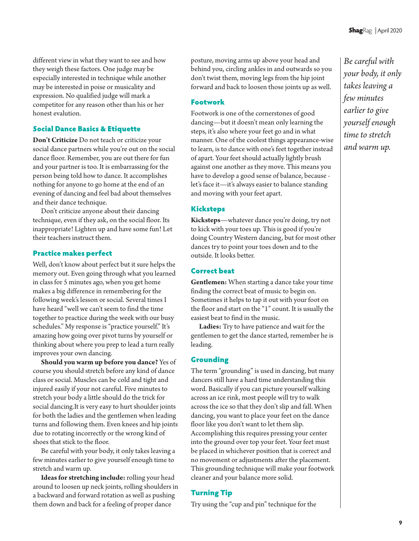different view in what they want to see and how they weigh these factors. One judge may be especially interested in technique while another may be interested in poise or musicality and expression. No qualified judge will mark a competitor for any reason other than his or her honest evalution.

#### Social Dance Basics & Etiquette

**Don't Criticize** Do not teach or criticize your social dance partners while you're out on the social dance floor. Remember, you are out there for fun and your partner is too. It is embarrassing for the person being told how to dance. It accomplishes nothing for anyone to go home at the end of an evening of dancing and feel bad about themselves and their dance technique.

Don't criticize anyone about their dancing technique, even if they ask, on the social floor. Its inappropriate! Lighten up and have some fun! Let their teachers instruct them.

#### Practice makes perfect

Well, don't know about perfect but it sure helps the memory out. Even going through what you learned in class for 5 minutes ago, when you get home makes a big difference in remembering for the following week's lesson or social. Several times I have heard "well we can't seem to find the time together to practice during the week with our busy schedules." My response is "practice yourself." It's amazing how going over pivot turns by yourself or thinking about where you prep to lead a turn really improves your own dancing.

**Should you warm up before you dance?** Yes of course you should stretch before any kind of dance class or social. Muscles can be cold and tight and injured easily if your not careful. Five minutes to stretch your body a little should do the trick for social dancing.It is very easy to hurt shoulder joints for both the ladies and the gentlemen when leading turns and following them. Even knees and hip joints due to rotating incorrectly or the wrong kind of shoes that stick to the floor.

Be careful with your body, it only takes leaving a few minutes earlier to give yourself enough time to stretch and warm up.

**Ideas for stretching include:** rolling your head around to loosen up neck joints, rolling shoulders in a backward and forward rotation as well as pushing them down and back for a feeling of proper dance

posture, moving arms up above your head and behind you, circling ankles in and outwards so you don't twist them, moving legs from the hip joint forward and back to loosen those joints up as well.

#### Footwork

Footwork is one of the cornerstones of good dancing—but it doesn't mean only learning the steps, it's also where your feet go and in what manner. One of the coolest things appearance-wise to learn, is to dance with one's feet together instead of apart. Your feet should actually lightly brush against one another as they move. This means you have to develop a good sense of balance, because let's face it—it's always easier to balance standing and moving with your feet apart.

#### Kicksteps

**Kicksteps**—whatever dance you're doing, try not to kick with your toes up. This is good if you're doing Country Western dancing, but for most other dances try to point your toes down and to the outside. It looks better.

#### Correct beat

**Gentlemen:** When starting a dance take your time finding the correct beat of music to begin on. Sometimes it helps to tap it out with your foot on the floor and start on the "1" count. It is usually the easiest beat to find in the music.

**Ladies:** Try to have patience and wait for the gentlemen to get the dance started, remember he is leading.

#### **Grounding**

The term "grounding" is used in dancing, but many dancers still have a hard time understanding this word. Basically if you can picture yourself walking across an ice rink, most people will try to walk across the ice so that they don't slip and fall. When dancing, you want to place your feet on the dance floor like you don't want to let them slip. Accomplishing this requires pressing your center into the ground over top your feet. Your feet must be placed in whichever position that is correct and no movement or adjustments after the placement. This grounding technique will make your footwork cleaner and your balance more solid.

#### Turning Tip

Try using the "cup and pin" technique for the

*Be careful with your body, it only takes leaving a few minutes earlier to give yourself enough time to stretch and warm up.*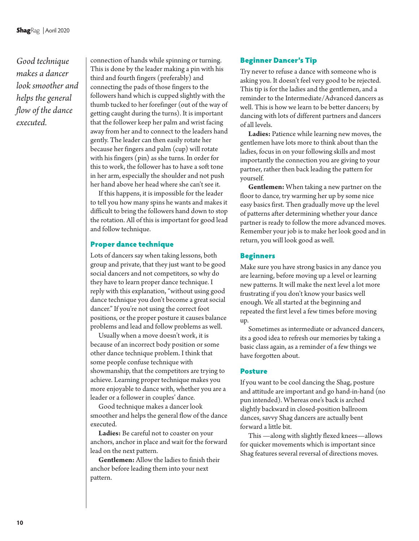*Good technique makes a dancer look smoother and helps the general flow of the dance executed.* 

connection of hands while spinning or turning. This is done by the leader making a pin with his third and fourth fingers (preferably) and connecting the pads of those fingers to the followers hand which is cupped slightly with the thumb tucked to her forefinger (out of the way of getting caught during the turns). It is important that the follower keep her palm and wrist facing away from her and to connect to the leaders hand gently. The leader can then easily rotate her because her fingers and palm (cup) will rotate with his fingers (pin) as she turns. In order for this to work, the follower has to have a soft tone in her arm, especially the shoulder and not push her hand above her head where she can't see it.

If this happens, it is impossible for the leader to tell you how many spins he wants and makes it difficult to bring the followers hand down to stop the rotation. All of this is important for good lead and follow technique.

#### Proper dance technique

Lots of dancers say when taking lessons, both group and private, that they just want to be good social dancers and not competitors, so why do they have to learn proper dance technique. I reply with this explanation, "without using good dance technique you don't become a great social dancer." If you're not using the correct foot positions, or the proper posture it causes balance problems and lead and follow problems as well.

Usually when a move doesn't work, it is because of an incorrect body position or some other dance technique problem. I think that some people confuse technique with showmanship, that the competitors are trying to achieve. Learning proper technique makes you more enjoyable to dance with, whether you are a leader or a follower in couples' dance.

Good technique makes a dancer look smoother and helps the general flow of the dance executed.

**Ladies:** Be careful not to coaster on your anchors, anchor in place and wait for the forward lead on the next pattern.

**Gentlemen:** Allow the ladies to finish their anchor before leading them into your next pattern.

#### Beginner Dancer's Tip

Try never to refuse a dance with someone who is asking you. It doesn't feel very good to be rejected. This tip is for the ladies and the gentlemen, and a reminder to the Intermediate/Advanced dancers as well. This is how we learn to be better dancers; by dancing with lots of different partners and dancers of all levels.

**Ladies:** Patience while learning new moves, the gentlemen have lots more to think about than the ladies, focus in on your following skills and most importantly the connection you are giving to your partner, rather then back leading the pattern for yourself.

**Gentlemen:** When taking a new partner on the floor to dance, try warming her up by some nice easy basics first. Then gradually move up the level of patterns after determining whether your dance partner is ready to follow the more advanced moves. Remember your job is to make her look good and in return, you will look good as well.

#### Beginners

Make sure you have strong basics in any dance you are learning, before moving up a level or learning new patterns. It will make the next level a lot more frustrating if you don't know your basics well enough. We all started at the beginning and repeated the first level a few times before moving up.

Sometimes as intermediate or advanced dancers, its a good idea to refresh our memories by taking a basic class again, as a reminder of a few things we have forgotten about.

#### Posture

If you want to be cool dancing the Shag, posture and attitude are important and go hand-in-hand (no pun intended). Whereas one's back is arched slightly backward in closed-position ballroom dances, savvy Shag dancers are actually bent forward a little bit.

This —along with slightly flexed knees—allows for quicker movements which is important since Shag features several reversal of directions moves.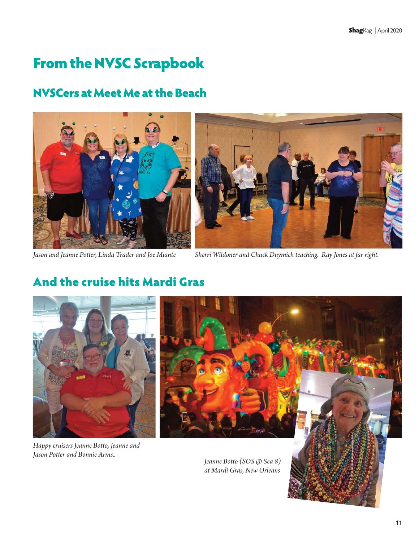# From the NVSC Scrapbook

# NVSCers at Meet Me at the Beach





*Jason and Jeanne Potter, Linda Trader and Joe Miante Sherri Wildoner and Chuck Duymich teaching. Ray Jones at far right.* 

# And the cruise hits Mardi Gras



*Happy cruisers Jeanne Botto, Jeanne and Jason Potter and Bonnie Arms..*

*Jeanne Botto (SOS @ Sea 8) at Mardi Gras, New Orleans*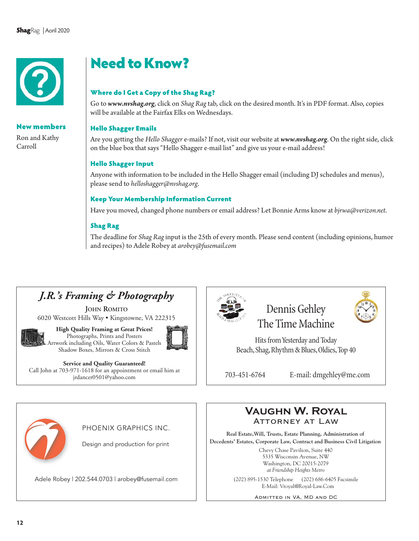

#### New members

Ron and Kathy Carroll

# Need to Know?

#### Where do I Get a Copy of the Shag Rag?

Go to *www.nvshag.org*, click on *Shag Rag* tab, click on the desired month. It's in PDF format. Also, copies will be available at the Fairfax Elks on Wednesdays.

#### Hello Shagger Emails

Are you getting the *Hello Shagger* e-mails? If not, visit our website at *www.nvshag.org*. On the right side, click on the blue box that says "Hello Shagger e-mail list" and give us your e-mail address!

#### Hello Shagger Input

Anyone with information to be included in the Hello Shagger email (including DJ schedules and menus), please send to *helloshagger@nvshag.org*.

#### Keep Your Membership Information Current

Have you moved, changed phone numbers or email address? Let Bonnie Arms know at *bjrwa@verizon.net*.

#### Shag Rag

The deadline for *Shag Rag* input is the 25th of every month. Please send content (including opinions, humor and recipes) to Adele Robey at *arobey@fusemail.com*



**JOHN ROMITO**

6020 Westcott Hills Way • Kingstowne, VA 222315



**High Quality Framing at Great Prices!**  Photographs, Prints and Posters Artwork including Oils, Water Colors & Pastels Shadow Boxes, Mirrors & Cross Stitch



**Service and Quality Guaranteed!**  Call John at 703-971-1618 for an appointment or email him at jrdancer0501@yahoo.com



Dennis Gehley The Time Machine

Hits from Yesterday and Today Beach, Shag, Rhythm & Blues, Oldies, Top 40

703-451-6764 E-mail: dmgehley@me.com



PHOENIX GRAPHICS INC.

Design and production for print

Adele Robey | 202.544.0703 | arobey@fusemail.com (202) 895-1530 Telephone (202) 686-6405 Facsimile



**Real Estate,Will, Trusts, Estate Planning, Administration of Decedents' Estates, Corporate Law, Contract and Business Civil Litigation**

> Chevy Chase Pavilion, Suite 440 5335 Wisconsin Avenue, NW Washington, DC 20015-2079 *at Friendship Heights Metro*

E-Mail: Vroyal@Royal-Law.Com

Admitted in VA, MD and DC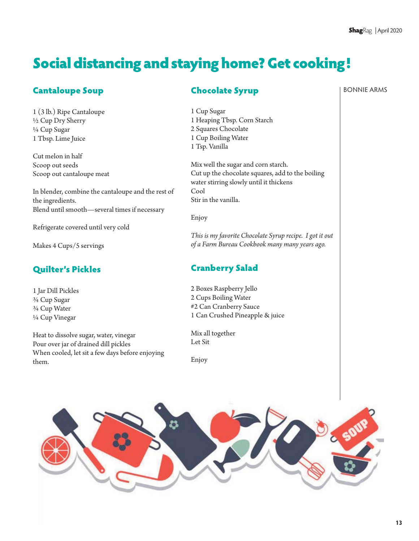# Social distancing and staying home? Get cooking!

# Cantaloupe Soup

1 (3 lb.) Ripe Cantaloupe ½ Cup Dry Sherry ¼ Cup Sugar 1 Tbsp. Lime Juice

Cut melon in half Scoop out seeds Scoop out cantaloupe meat

In blender, combine the cantaloupe and the rest of the ingredients. Blend until smooth—several times if necessary

Refrigerate covered until very cold

Makes 4 Cups/5 servings

# Quilter's Pickles

1 Jar Dill Pickles ¾ Cup Sugar ¾ Cup Water ¼ Cup Vinegar

Heat to dissolve sugar, water, vinegar Pour over jar of drained dill pickles When cooled, let sit a few days before enjoying them.

### Chocolate Syrup

1 Cup Sugar 1 Heaping Tbsp. Corn Starch 2 Squares Chocolate 1 Cup Boiling Water 1 Tsp. Vanilla

Mix well the sugar and corn starch. Cut up the chocolate squares, add to the boiling water stirring slowly until it thickens Cool Stir in the vanilla.

Enjoy

*This is my favorite Chocolate Syrup recipe. I got it out of a Farm Bureau Cookbook many many years ago.* 

# Cranberry Salad

2 Boxes Raspberry Jello 2 Cups Boiling Water #2 Can Cranberry Sauce 1 Can Crushed Pineapple & juice

Mix all together Let Sit

Enjoy